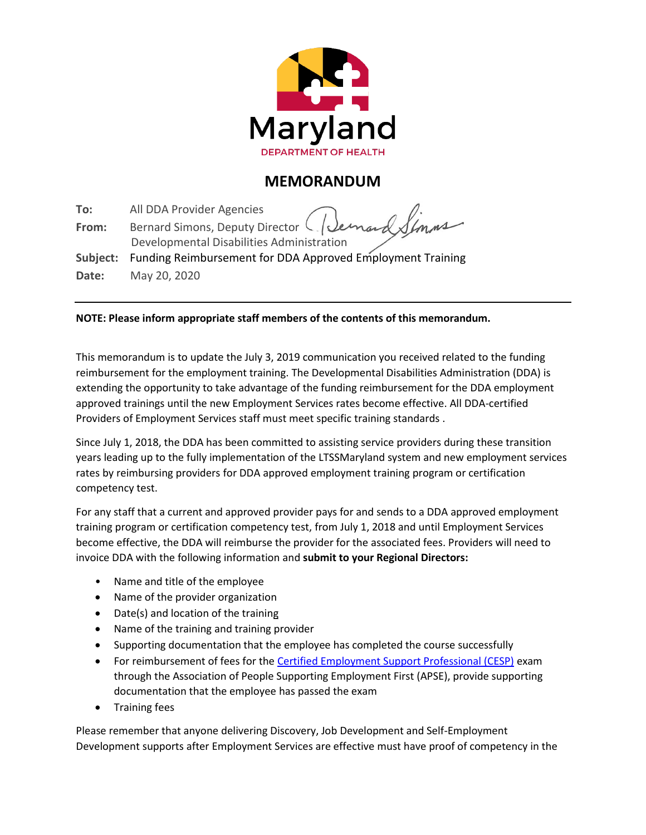

## **MEMORANDUM**

**To:** All DDA Provider Agencies **From:** Bernard Simons, Deputy Director  $\bigcup$ . Developmental Disabilities Administration **Subject:** Funding Reimbursement for DDA Approved Employment Training **Date:** May 20, 2020

## **NOTE: Please inform appropriate staff members of the contents of this memorandum.**

This memorandum is to update the July 3, 2019 communication you received related to the funding reimbursement for the employment training. The Developmental Disabilities Administration (DDA) is extending the opportunity to take advantage of the funding reimbursement for the DDA employment approved trainings until the new Employment Services rates become effective. All DDA-certified Providers of Employment Services staff must meet specific training standards .

Since July 1, 2018, the DDA has been committed to assisting service providers during these transition years leading up to the fully implementation of the LTSSMaryland system and new employment services rates by reimbursing providers for DDA approved employment training program or certification competency test.

For any staff that a current and approved provider pays for and sends to a DDA approved employment training program or certification competency test, from July 1, 2018 and until Employment Services become effective, the DDA will reimburse the provider for the associated fees. Providers will need to invoice DDA with the following information and **submit to your Regional Directors:**

- Name and title of the employee
- Name of the provider organization
- Date(s) and location of the training
- Name of the training and training provider
- Supporting documentation that the employee has completed the course successfully
- For reimbursement of fees for the [Certified Employment Support Professional \(CESP\)](https://apse.org/cesp-central/) exam through the Association of People Supporting Employment First (APSE), provide supporting documentation that the employee has passed the exam
- Training fees

Please remember that anyone delivering Discovery, Job Development and Self-Employment Development supports after Employment Services are effective must have proof of competency in the